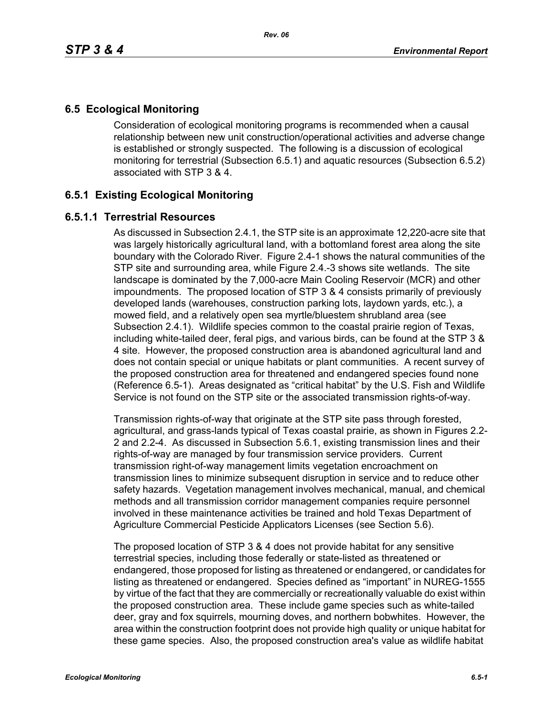# **6.5 Ecological Monitoring**

Consideration of ecological monitoring programs is recommended when a causal relationship between new unit construction/operational activities and adverse change is established or strongly suspected. The following is a discussion of ecological monitoring for terrestrial (Subsection 6.5.1) and aquatic resources (Subsection 6.5.2) associated with STP 3 & 4.

## **6.5.1 Existing Ecological Monitoring**

### **6.5.1.1 Terrestrial Resources**

As discussed in Subsection 2.4.1, the STP site is an approximate 12,220-acre site that was largely historically agricultural land, with a bottomland forest area along the site boundary with the Colorado River. Figure 2.4-1 shows the natural communities of the STP site and surrounding area, while Figure 2.4.-3 shows site wetlands. The site landscape is dominated by the 7,000-acre Main Cooling Reservoir (MCR) and other impoundments. The proposed location of STP 3 & 4 consists primarily of previously developed lands (warehouses, construction parking lots, laydown yards, etc.), a mowed field, and a relatively open sea myrtle/bluestem shrubland area (see Subsection 2.4.1). Wildlife species common to the coastal prairie region of Texas, including white-tailed deer, feral pigs, and various birds, can be found at the STP 3 & 4 site. However, the proposed construction area is abandoned agricultural land and does not contain special or unique habitats or plant communities. A recent survey of the proposed construction area for threatened and endangered species found none (Reference 6.5-1). Areas designated as "critical habitat" by the U.S. Fish and Wildlife Service is not found on the STP site or the associated transmission rights-of-way.

Transmission rights-of-way that originate at the STP site pass through forested, agricultural, and grass-lands typical of Texas coastal prairie, as shown in Figures 2.2- 2 and 2.2-4. As discussed in Subsection 5.6.1, existing transmission lines and their rights-of-way are managed by four transmission service providers. Current transmission right-of-way management limits vegetation encroachment on transmission lines to minimize subsequent disruption in service and to reduce other safety hazards. Vegetation management involves mechanical, manual, and chemical methods and all transmission corridor management companies require personnel involved in these maintenance activities be trained and hold Texas Department of Agriculture Commercial Pesticide Applicators Licenses (see Section 5.6).

The proposed location of STP 3 & 4 does not provide habitat for any sensitive terrestrial species, including those federally or state-listed as threatened or endangered, those proposed for listing as threatened or endangered, or candidates for listing as threatened or endangered. Species defined as "important" in NUREG-1555 by virtue of the fact that they are commercially or recreationally valuable do exist within the proposed construction area. These include game species such as white-tailed deer, gray and fox squirrels, mourning doves, and northern bobwhites. However, the area within the construction footprint does not provide high quality or unique habitat for these game species. Also, the proposed construction area's value as wildlife habitat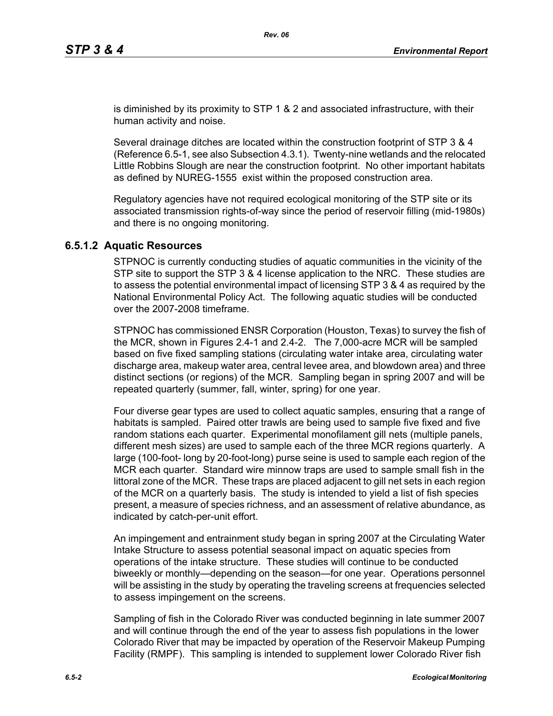is diminished by its proximity to STP 1 & 2 and associated infrastructure, with their human activity and noise.

Several drainage ditches are located within the construction footprint of STP 3 & 4 (Reference 6.5-1, see also Subsection 4.3.1). Twenty-nine wetlands and the relocated Little Robbins Slough are near the construction footprint. No other important habitats as defined by NUREG-1555 exist within the proposed construction area.

Regulatory agencies have not required ecological monitoring of the STP site or its associated transmission rights-of-way since the period of reservoir filling (mid-1980s) and there is no ongoing monitoring.

#### **6.5.1.2 Aquatic Resources**

STPNOC is currently conducting studies of aquatic communities in the vicinity of the STP site to support the STP 3 & 4 license application to the NRC. These studies are to assess the potential environmental impact of licensing STP 3 & 4 as required by the National Environmental Policy Act. The following aquatic studies will be conducted over the 2007-2008 timeframe.

STPNOC has commissioned ENSR Corporation (Houston, Texas) to survey the fish of the MCR, shown in Figures 2.4-1 and 2.4-2. The 7,000-acre MCR will be sampled based on five fixed sampling stations (circulating water intake area, circulating water discharge area, makeup water area, central levee area, and blowdown area) and three distinct sections (or regions) of the MCR. Sampling began in spring 2007 and will be repeated quarterly (summer, fall, winter, spring) for one year.

Four diverse gear types are used to collect aquatic samples, ensuring that a range of habitats is sampled. Paired otter trawls are being used to sample five fixed and five random stations each quarter. Experimental monofilament gill nets (multiple panels, different mesh sizes) are used to sample each of the three MCR regions quarterly. A large (100-foot- long by 20-foot-long) purse seine is used to sample each region of the MCR each quarter. Standard wire minnow traps are used to sample small fish in the littoral zone of the MCR. These traps are placed adjacent to gill net sets in each region of the MCR on a quarterly basis. The study is intended to yield a list of fish species present, a measure of species richness, and an assessment of relative abundance, as indicated by catch-per-unit effort.

An impingement and entrainment study began in spring 2007 at the Circulating Water Intake Structure to assess potential seasonal impact on aquatic species from operations of the intake structure. These studies will continue to be conducted biweekly or monthly—depending on the season—for one year. Operations personnel will be assisting in the study by operating the traveling screens at frequencies selected to assess impingement on the screens.

Sampling of fish in the Colorado River was conducted beginning in late summer 2007 and will continue through the end of the year to assess fish populations in the lower Colorado River that may be impacted by operation of the Reservoir Makeup Pumping Facility (RMPF). This sampling is intended to supplement lower Colorado River fish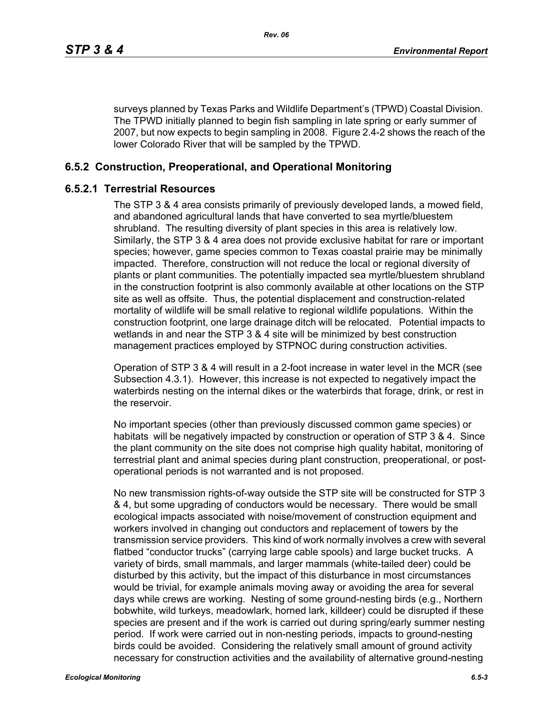surveys planned by Texas Parks and Wildlife Department's (TPWD) Coastal Division. The TPWD initially planned to begin fish sampling in late spring or early summer of 2007, but now expects to begin sampling in 2008. Figure 2.4-2 shows the reach of the lower Colorado River that will be sampled by the TPWD.

## **6.5.2 Construction, Preoperational, and Operational Monitoring**

#### **6.5.2.1 Terrestrial Resources**

The STP 3 & 4 area consists primarily of previously developed lands, a mowed field, and abandoned agricultural lands that have converted to sea myrtle/bluestem shrubland. The resulting diversity of plant species in this area is relatively low. Similarly, the STP 3 & 4 area does not provide exclusive habitat for rare or important species; however, game species common to Texas coastal prairie may be minimally impacted. Therefore, construction will not reduce the local or regional diversity of plants or plant communities. The potentially impacted sea myrtle/bluestem shrubland in the construction footprint is also commonly available at other locations on the STP site as well as offsite. Thus, the potential displacement and construction-related mortality of wildlife will be small relative to regional wildlife populations. Within the construction footprint, one large drainage ditch will be relocated. Potential impacts to wetlands in and near the STP 3 & 4 site will be minimized by best construction management practices employed by STPNOC during construction activities.

Operation of STP 3 & 4 will result in a 2-foot increase in water level in the MCR (see Subsection 4.3.1). However, this increase is not expected to negatively impact the waterbirds nesting on the internal dikes or the waterbirds that forage, drink, or rest in the reservoir.

No important species (other than previously discussed common game species) or habitats will be negatively impacted by construction or operation of STP 3 & 4. Since the plant community on the site does not comprise high quality habitat, monitoring of terrestrial plant and animal species during plant construction, preoperational, or postoperational periods is not warranted and is not proposed.

No new transmission rights-of-way outside the STP site will be constructed for STP 3 & 4, but some upgrading of conductors would be necessary. There would be small ecological impacts associated with noise/movement of construction equipment and workers involved in changing out conductors and replacement of towers by the transmission service providers. This kind of work normally involves a crew with several flatbed "conductor trucks" (carrying large cable spools) and large bucket trucks. A variety of birds, small mammals, and larger mammals (white-tailed deer) could be disturbed by this activity, but the impact of this disturbance in most circumstances would be trivial, for example animals moving away or avoiding the area for several days while crews are working. Nesting of some ground-nesting birds (e.g., Northern bobwhite, wild turkeys, meadowlark, horned lark, killdeer) could be disrupted if these species are present and if the work is carried out during spring/early summer nesting period. If work were carried out in non-nesting periods, impacts to ground-nesting birds could be avoided. Considering the relatively small amount of ground activity necessary for construction activities and the availability of alternative ground-nesting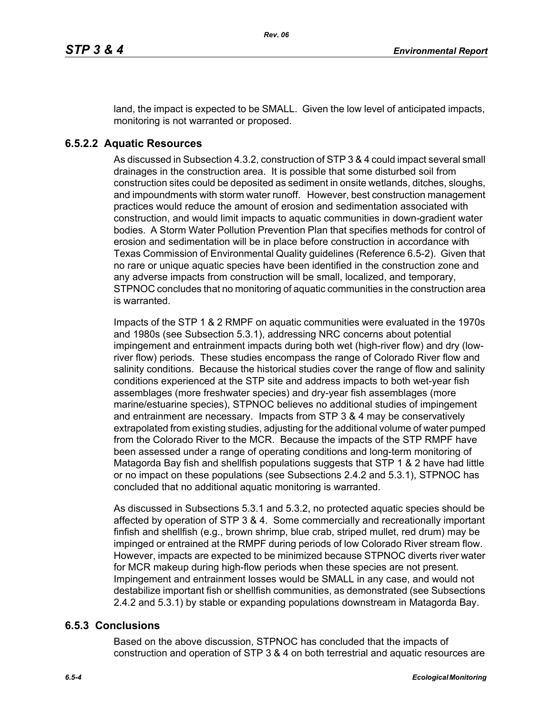land, the impact is expected to be SMALL. Given the low level of anticipated impacts, monitoring is not warranted or proposed.

### **6.5.2.2 Aquatic Resources**

As discussed in Subsection 4.3.2, construction of STP 3 & 4 could impact several small drainages in the construction area. It is possible that some disturbed soil from construction sites could be deposited as sediment in onsite wetlands, ditches, sloughs, and impoundments with storm water runoff. However, best construction management practices would reduce the amount of erosion and sedimentation associated with construction, and would limit impacts to aquatic communities in down-gradient water bodies. A Storm Water Pollution Prevention Plan that specifies methods for control of erosion and sedimentation will be in place before construction in accordance with Texas Commission of Environmental Quality guidelines (Reference 6.5-2). Given that no rare or unique aquatic species have been identified in the construction zone and any adverse impacts from construction will be small, localized, and temporary, STPNOC concludes that no monitoring of aquatic communities in the construction area is warranted.

Impacts of the STP 1 & 2 RMPF on aquatic communities were evaluated in the 1970s and 1980s (see Subsection 5.3.1), addressing NRC concerns about potential impingement and entrainment impacts during both wet (high-river flow) and dry (lowriver flow) periods. These studies encompass the range of Colorado River flow and salinity conditions. Because the historical studies cover the range of flow and salinity conditions experienced at the STP site and address impacts to both wet-year fish assemblages (more freshwater species) and dry-year fish assemblages (more marine/estuarine species), STPNOC believes no additional studies of impingement and entrainment are necessary. Impacts from STP 3 & 4 may be conservatively extrapolated from existing studies, adjusting for the additional volume of water pumped from the Colorado River to the MCR. Because the impacts of the STP RMPF have been assessed under a range of operating conditions and long-term monitoring of Matagorda Bay fish and shellfish populations suggests that STP 1 & 2 have had little or no impact on these populations (see Subsections 2.4.2 and 5.3.1), STPNOC has concluded that no additional aquatic monitoring is warranted.

As discussed in Subsections 5.3.1 and 5.3.2, no protected aquatic species should be affected by operation of STP 3 & 4. Some commercially and recreationally important finfish and shellfish (e.g., brown shrimp, blue crab, striped mullet, red drum) may be impinged or entrained at the RMPF during periods of low Colorado River stream flow. However, impacts are expected to be minimized because STPNOC diverts river water for MCR makeup during high-flow periods when these species are not present. Impingement and entrainment losses would be SMALL in any case, and would not destabilize important fish or shellfish communities, as demonstrated (see Subsections 2.4.2 and 5.3.1) by stable or expanding populations downstream in Matagorda Bay.

#### **6.5.3 Conclusions**

Based on the above discussion, STPNOC has concluded that the impacts of construction and operation of STP 3 & 4 on both terrestrial and aquatic resources are